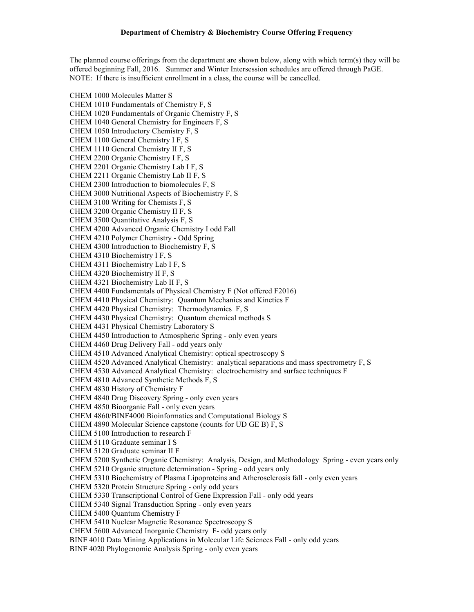The planned course offerings from the department are shown below, along with which term(s) they will be offered beginning Fall, 2016. Summer and Winter Intersession schedules are offered through PaGE. NOTE: If there is insufficient enrollment in a class, the course will be cancelled.

CHEM 1000 Molecules Matter S CHEM 1010 Fundamentals of Chemistry F, S CHEM 1020 Fundamentals of Organic Chemistry F, S CHEM 1040 General Chemistry for Engineers F, S CHEM 1050 Introductory Chemistry F, S CHEM 1100 General Chemistry I F, S CHEM 1110 General Chemistry II F, S CHEM 2200 Organic Chemistry I F, S CHEM 2201 Organic Chemistry Lab I F, S CHEM 2211 Organic Chemistry Lab II F, S CHEM 2300 Introduction to biomolecules F, S CHEM 3000 Nutritional Aspects of Biochemistry F, S CHEM 3100 Writing for Chemists F, S CHEM 3200 Organic Chemistry II F, S CHEM 3500 Quantitative Analysis F, S CHEM 4200 Advanced Organic Chemistry I odd Fall CHEM 4210 Polymer Chemistry - Odd Spring CHEM 4300 Introduction to Biochemistry F, S CHEM 4310 Biochemistry I F, S CHEM 4311 Biochemistry Lab I F, S CHEM 4320 Biochemistry II F, S CHEM 4321 Biochemistry Lab II F, S CHEM 4400 Fundamentals of Physical Chemistry F (Not offered F2016) CHEM 4410 Physical Chemistry: Quantum Mechanics and Kinetics F CHEM 4420 Physical Chemistry: Thermodynamics F, S CHEM 4430 Physical Chemistry: Quantum chemical methods S CHEM 4431 Physical Chemistry Laboratory S CHEM 4450 Introduction to Atmospheric Spring - only even years CHEM 4460 Drug Delivery Fall - odd years only CHEM 4510 Advanced Analytical Chemistry: optical spectroscopy S CHEM 4520 Advanced Analytical Chemistry: analytical separations and mass spectrometry F, S CHEM 4530 Advanced Analytical Chemistry: electrochemistry and surface techniques F CHEM 4810 Advanced Synthetic Methods F, S CHEM 4830 History of Chemistry F CHEM 4840 Drug Discovery Spring - only even years CHEM 4850 Bioorganic Fall - only even years CHEM 4860/BINF4000 Bioinformatics and Computational Biology S CHEM 4890 Molecular Science capstone (counts for UD GE B) F, S CHEM 5100 Introduction to research F CHEM 5110 Graduate seminar I S CHEM 5120 Graduate seminar II F CHEM 5200 Synthetic Organic Chemistry: Analysis, Design, and Methodology Spring - even years only CHEM 5210 Organic structure determination - Spring - odd years only CHEM 5310 Biochemistry of Plasma Lipoproteins and Atherosclerosis fall - only even years CHEM 5320 Protein Structure Spring - only odd years CHEM 5330 Transcriptional Control of Gene Expression Fall - only odd years CHEM 5340 Signal Transduction Spring - only even years CHEM 5400 Quantum Chemistry F CHEM 5410 Nuclear Magnetic Resonance Spectroscopy S CHEM 5600 Advanced Inorganic Chemistry F- odd years only BINF 4010 Data Mining Applications in Molecular Life Sciences Fall - only odd years BINF 4020 Phylogenomic Analysis Spring - only even years